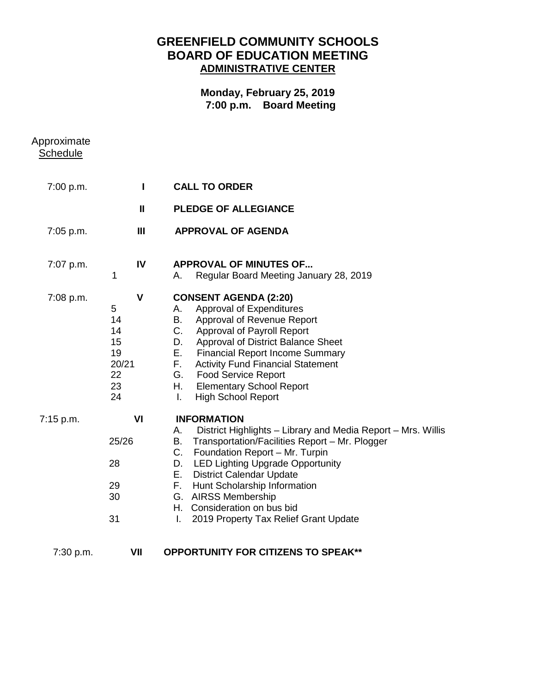## **GREENFIELD COMMUNITY SCHOOLS BOARD OF EDUCATION MEETING ADMINISTRATIVE CENTER**

## **Monday, February 25, 2019 7:00 p.m. Board Meeting**

| Approximate<br><b>Schedule</b> |                                                                      |                                                                                                                                                                                                                                                                                                                                                                                                                         |
|--------------------------------|----------------------------------------------------------------------|-------------------------------------------------------------------------------------------------------------------------------------------------------------------------------------------------------------------------------------------------------------------------------------------------------------------------------------------------------------------------------------------------------------------------|
| 7:00 p.m.                      | L                                                                    | <b>CALL TO ORDER</b>                                                                                                                                                                                                                                                                                                                                                                                                    |
|                                | $\mathbf{I}$                                                         | <b>PLEDGE OF ALLEGIANCE</b>                                                                                                                                                                                                                                                                                                                                                                                             |
| 7:05 p.m.                      | $\mathbf{III}$                                                       | <b>APPROVAL OF AGENDA</b>                                                                                                                                                                                                                                                                                                                                                                                               |
| 7:07 p.m.                      | IV<br>1                                                              | <b>APPROVAL OF MINUTES OF</b><br>Regular Board Meeting January 28, 2019<br>А.                                                                                                                                                                                                                                                                                                                                           |
| 7:08 p.m.                      | $\mathsf{V}$<br>5<br>14<br>14<br>15<br>19<br>20/21<br>22<br>23<br>24 | <b>CONSENT AGENDA (2:20)</b><br>Approval of Expenditures<br>А.<br>Approval of Revenue Report<br>В.<br>C.<br><b>Approval of Payroll Report</b><br>Approval of District Balance Sheet<br>D.<br>Е.<br><b>Financial Report Income Summary</b><br>F.<br><b>Activity Fund Financial Statement</b><br>G. Food Service Report<br>Η.<br><b>Elementary School Report</b><br><b>High School Report</b><br>Ι.                       |
| 7:15 p.m.                      | VI<br>25/26<br>28<br>29<br>30<br>31                                  | <b>INFORMATION</b><br>District Highlights - Library and Media Report - Mrs. Willis<br>А.<br>Transportation/Facilities Report - Mr. Plogger<br>В.<br>C. Foundation Report - Mr. Turpin<br><b>LED Lighting Upgrade Opportunity</b><br>D.<br>Е.<br><b>District Calendar Update</b><br>F. Hunt Scholarship Information<br>G. AIRSS Membership<br>H. Consideration on bus bid<br>2019 Property Tax Relief Grant Update<br>T. |
| 7:30 p.m.                      | VII                                                                  | <b>OPPORTUNITY FOR CITIZENS TO SPEAK**</b>                                                                                                                                                                                                                                                                                                                                                                              |